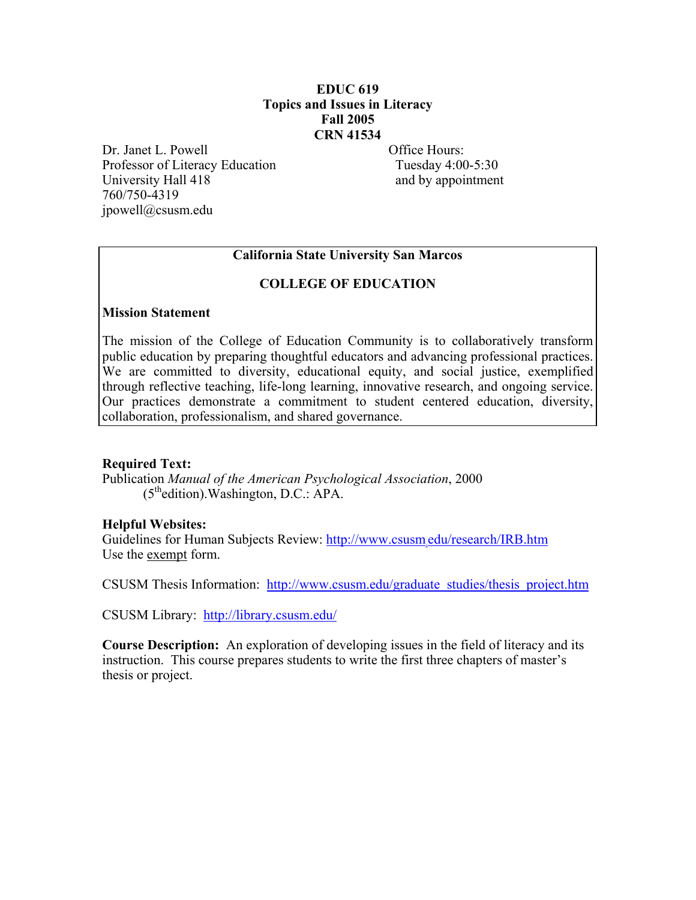## **EDUC 619 Topics and Issues in Literacy Fall 2005 CRN 41534**

Dr. Janet L. Powell **Office Hours:** Professor of Literacy Education Tuesday 4:00-5:30 University Hall 418 and by appointment 760/750-4319 jpowell@csusm.edu

## **California State University San Marcos**

#### **COLLEGE OF EDUCATION**

#### **Mission Statement**

The mission of the College of Education Community is to collaboratively transform public education by preparing thoughtful educators and advancing professional practices. We are committed to diversity, educational equity, and social justice, exemplified through reflective teaching, life-long learning, innovative research, and ongoing service. Our practices demonstrate a commitment to student centered education, diversity, collaboration, professionalism, and shared governance.

#### **Required Text:**

Publication *Manual of the American Psychological Association*, 2000  $(5<sup>th</sup>$ edition). Washington, D.C.: APA.

#### **Helpful Websites:**

Guidelines for Human Subjects Review: http://www.csusm.edu/research/IRB.htm Use the exempt form.

CSUSM Thesis Information: http://www.csusm.edu/graduate\_studies/thesis\_project.htm

CSUSM Library: http://library.csusm.edu/

**Course Description:** An exploration of developing issues in the field of literacy and its instruction. This course prepares students to write the first three chapters of master's thesis or project.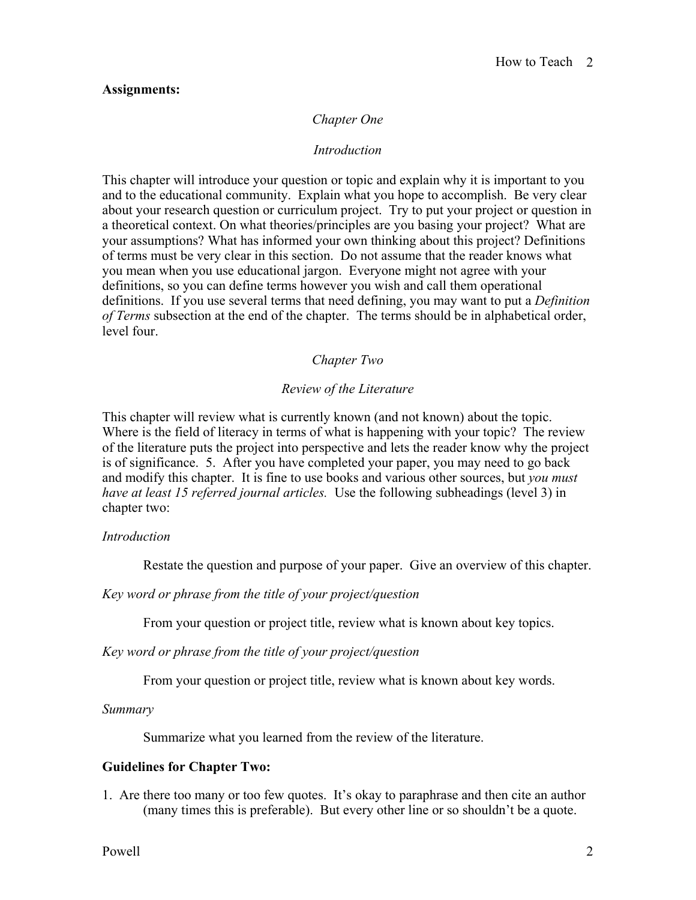#### **Assignments:**

#### *Chapter One*

#### *Introduction*

This chapter will introduce your question or topic and explain why it is important to you and to the educational community. Explain what you hope to accomplish. Be very clear about your research question or curriculum project. Try to put your project or question in a theoretical context. On what theories/principles are you basing your project? What are your assumptions? What has informed your own thinking about this project? Definitions of terms must be very clear in this section. Do not assume that the reader knows what you mean when you use educational jargon. Everyone might not agree with your definitions, so you can define terms however you wish and call them operational definitions. If you use several terms that need defining, you may want to put a *Definition of Terms* subsection at the end of the chapter. The terms should be in alphabetical order, level four.

## *Chapter Two*

#### *Review of the Literature*

This chapter will review what is currently known (and not known) about the topic. Where is the field of literacy in terms of what is happening with your topic? The review of the literature puts the project into perspective and lets the reader know why the project is of significance. 5. After you have completed your paper, you may need to go back and modify this chapter. It is fine to use books and various other sources, but *you must have at least 15 referred journal articles.* Use the following subheadings (level 3) in chapter two:

#### *Introduction*

Restate the question and purpose of your paper. Give an overview of this chapter.

*Key word or phrase from the title of your project/question* 

From your question or project title, review what is known about key topics.

*Key word or phrase from the title of your project/question* 

From your question or project title, review what is known about key words.

*Summary* 

Summarize what you learned from the review of the literature.

#### **Guidelines for Chapter Two:**

1. Are there too many or too few quotes. It's okay to paraphrase and then cite an author (many times this is preferable). But every other line or so shouldn't be a quote.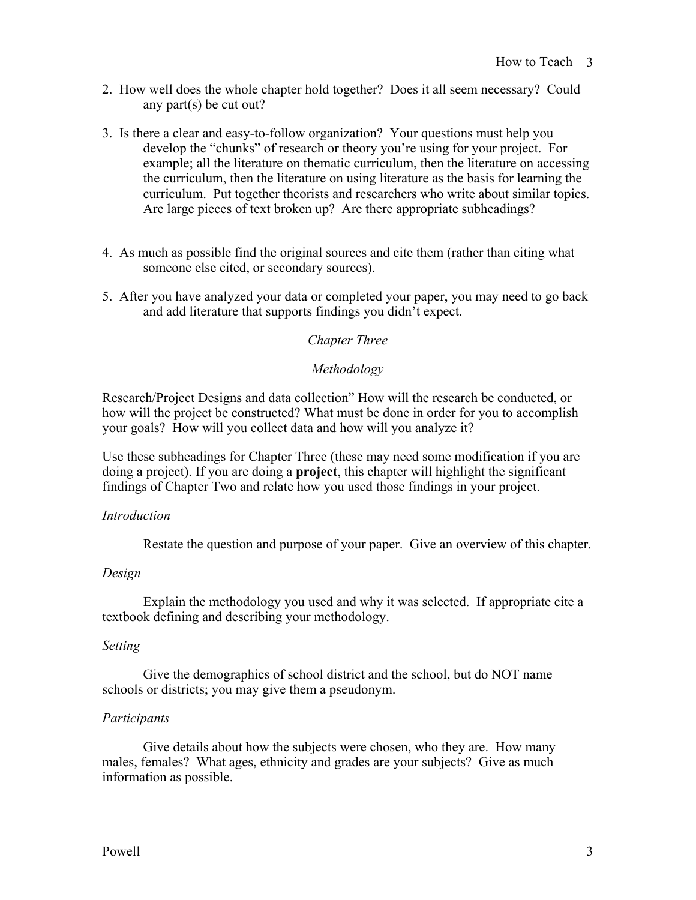- 2. How well does the whole chapter hold together? Does it all seem necessary? Could any part(s) be cut out?
- 3. Is there a clear and easy-to-follow organization? Your questions must help you develop the "chunks" of research or theory you're using for your project. For example; all the literature on thematic curriculum, then the literature on accessing the curriculum, then the literature on using literature as the basis for learning the curriculum. Put together theorists and researchers who write about similar topics. Are large pieces of text broken up? Are there appropriate subheadings?
- 4. As much as possible find the original sources and cite them (rather than citing what someone else cited, or secondary sources).
- 5. After you have analyzed your data or completed your paper, you may need to go back and add literature that supports findings you didn't expect.

## *Chapter Three*

#### *Methodology*

Research/Project Designs and data collection" How will the research be conducted, or how will the project be constructed? What must be done in order for you to accomplish your goals? How will you collect data and how will you analyze it?

Use these subheadings for Chapter Three (these may need some modification if you are doing a project). If you are doing a **project**, this chapter will highlight the significant findings of Chapter Two and relate how you used those findings in your project.

#### *Introduction*

Restate the question and purpose of your paper. Give an overview of this chapter.

#### *Design*

Explain the methodology you used and why it was selected. If appropriate cite a textbook defining and describing your methodology.

#### *Setting*

Give the demographics of school district and the school, but do NOT name schools or districts; you may give them a pseudonym.

#### *Participants*

Give details about how the subjects were chosen, who they are. How many males, females? What ages, ethnicity and grades are your subjects? Give as much information as possible.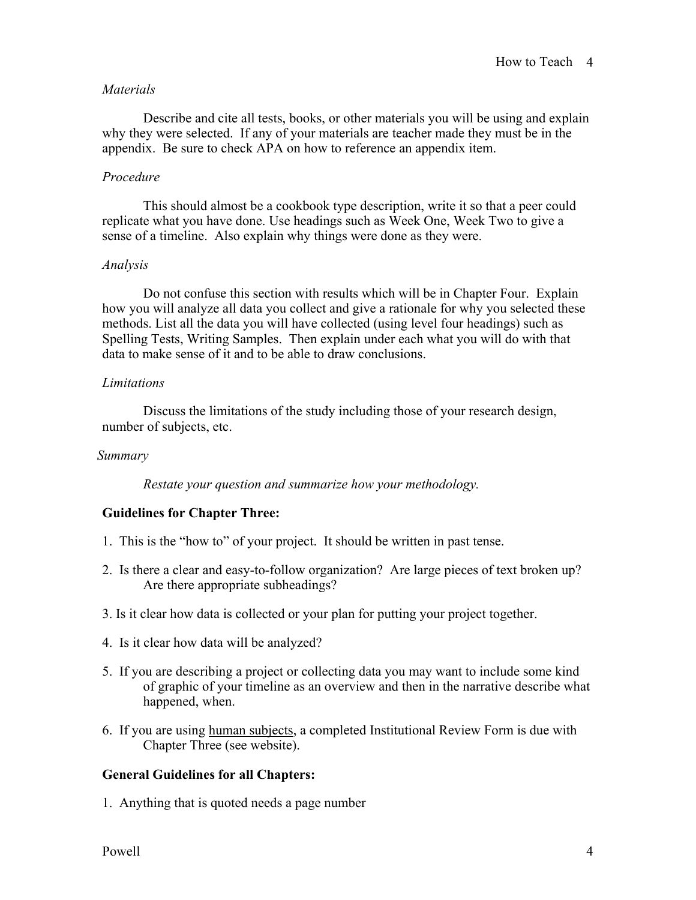## *Materials*

Describe and cite all tests, books, or other materials you will be using and explain why they were selected. If any of your materials are teacher made they must be in the appendix. Be sure to check APA on how to reference an appendix item.

## *Procedure*

This should almost be a cookbook type description, write it so that a peer could replicate what you have done. Use headings such as Week One, Week Two to give a sense of a timeline. Also explain why things were done as they were.

## *Analysis*

Do not confuse this section with results which will be in Chapter Four. Explain how you will analyze all data you collect and give a rationale for why you selected these methods. List all the data you will have collected (using level four headings) such as Spelling Tests, Writing Samples. Then explain under each what you will do with that data to make sense of it and to be able to draw conclusions.

## *Limitations*

Discuss the limitations of the study including those of your research design, number of subjects, etc.

#### *Summary*

 *Restate your question and summarize how your methodology.* 

# **Guidelines for Chapter Three:**

- 1. This is the "how to" of your project. It should be written in past tense.
- 2. Is there a clear and easy-to-follow organization? Are large pieces of text broken up? Are there appropriate subheadings?
- 3. Is it clear how data is collected or your plan for putting your project together.
- 4. Is it clear how data will be analyzed?
- 5. If you are describing a project or collecting data you may want to include some kind of graphic of your timeline as an overview and then in the narrative describe what happened, when.
- 6. If you are using human subjects, a completed Institutional Review Form is due with Chapter Three (see website).

# **General Guidelines for all Chapters:**

1. Anything that is quoted needs a page number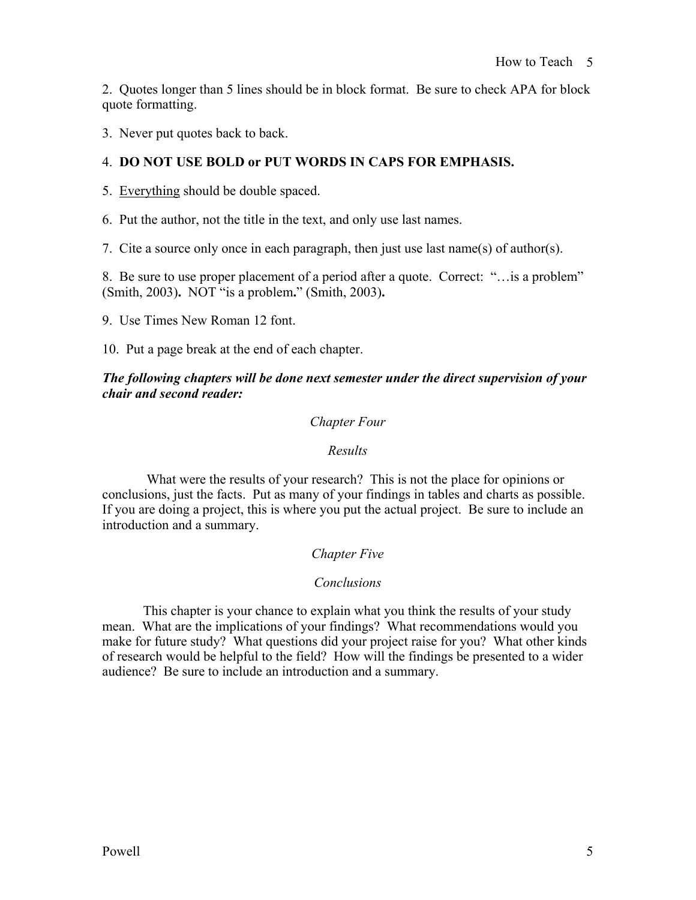2. Quotes longer than 5 lines should be in block format. Be sure to check APA for block quote formatting.

3. Never put quotes back to back.

# 4. **DO NOT USE BOLD or PUT WORDS IN CAPS FOR EMPHASIS.**

5. Everything should be double spaced.

6. Put the author, not the title in the text, and only use last names.

7. Cite a source only once in each paragraph, then just use last name(s) of author(s).

8. Be sure to use proper placement of a period after a quote. Correct: "…is a problem" (Smith, 2003)**.** NOT "is a problem**.**" (Smith, 2003)**.** 

9. Use Times New Roman 12 font.

10. Put a page break at the end of each chapter.

## *The following chapters will be done next semester under the direct supervision of your chair and second reader:*

## *Chapter Four*

#### *Results*

 What were the results of your research? This is not the place for opinions or conclusions, just the facts. Put as many of your findings in tables and charts as possible. If you are doing a project, this is where you put the actual project. Be sure to include an introduction and a summary.

# *Chapter Five*

# *Conclusions*

This chapter is your chance to explain what you think the results of your study mean. What are the implications of your findings? What recommendations would you make for future study? What questions did your project raise for you? What other kinds of research would be helpful to the field? How will the findings be presented to a wider audience? Be sure to include an introduction and a summary.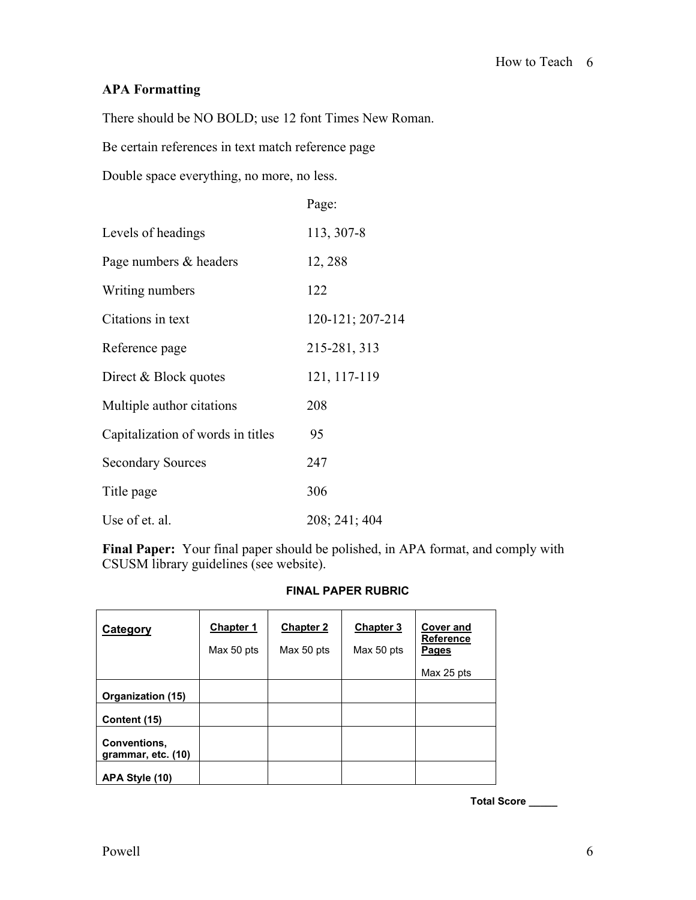# **APA Formatting**

There should be NO BOLD; use 12 font Times New Roman.

Be certain references in text match reference page

Double space everything, no more, no less.

|                                   | Page:            |
|-----------------------------------|------------------|
| Levels of headings                | 113, 307-8       |
| Page numbers & headers            | 12, 288          |
| Writing numbers                   | 122              |
| Citations in text                 | 120-121; 207-214 |
| Reference page                    | 215-281, 313     |
| Direct & Block quotes             | 121, 117-119     |
| Multiple author citations         | 208              |
| Capitalization of words in titles | 95               |
| <b>Secondary Sources</b>          | 247              |
| Title page                        | 306              |
| Use of et. al.                    | 208; 241; 404    |

**Final Paper:** Your final paper should be polished, in APA format, and comply with CSUSM library guidelines (see website).

#### **FINAL PAPER RUBRIC**

| Category                           | <b>Chapter 1</b><br>Max 50 pts | <b>Chapter 2</b><br>Max 50 pts | <b>Chapter 3</b><br>Max 50 pts | <b>Cover and</b><br><b>Reference</b><br>Pages<br>Max 25 pts |
|------------------------------------|--------------------------------|--------------------------------|--------------------------------|-------------------------------------------------------------|
| Organization (15)                  |                                |                                |                                |                                                             |
| Content (15)                       |                                |                                |                                |                                                             |
| Conventions,<br>grammar, etc. (10) |                                |                                |                                |                                                             |
| APA Style (10)                     |                                |                                |                                |                                                             |

**Total Score \_\_\_\_\_**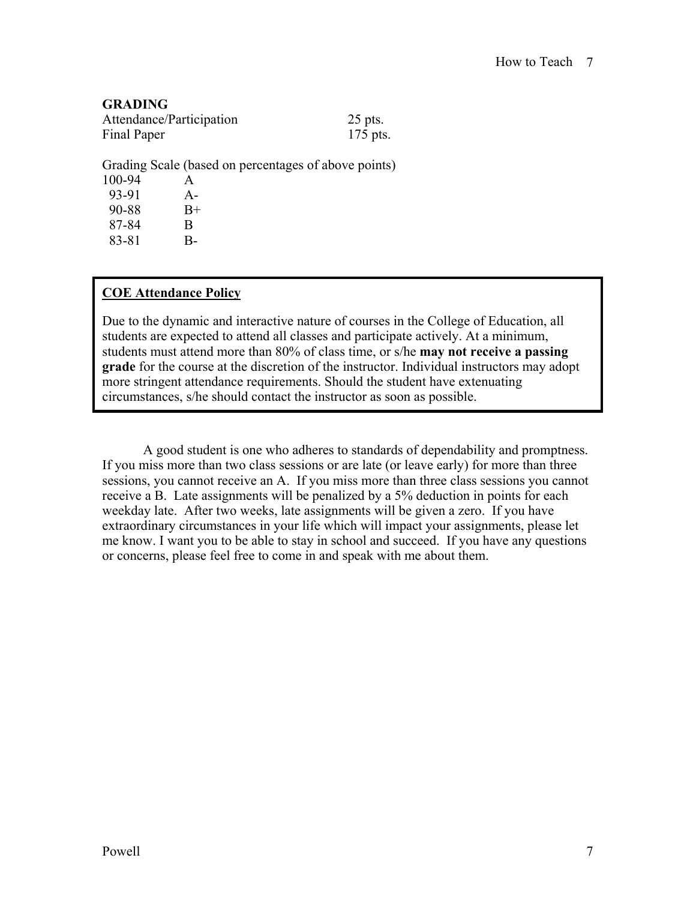## **GRADING**

| Attendance/Participation | $25$ pts.  |
|--------------------------|------------|
| Final Paper              | $175$ pts. |

Grading Scale (based on percentages of above points) 100-94 A 93-91 A-<br>90-88 B+ 90-88

87-84 B 83-81 B-

# **COE Attendance Policy**

Due to the dynamic and interactive nature of courses in the College of Education, all students are expected to attend all classes and participate actively. At a minimum, students must attend more than 80% of class time, or s/he **may not receive a passing grade** for the course at the discretion of the instructor. Individual instructors may adopt more stringent attendance requirements. Should the student have extenuating circumstances, s/he should contact the instructor as soon as possible.

 A good student is one who adheres to standards of dependability and promptness. If you miss more than two class sessions or are late (or leave early) for more than three sessions, you cannot receive an A. If you miss more than three class sessions you cannot receive a B. Late assignments will be penalized by a 5% deduction in points for each weekday late. After two weeks, late assignments will be given a zero. If you have extraordinary circumstances in your life which will impact your assignments, please let me know. I want you to be able to stay in school and succeed. If you have any questions or concerns, please feel free to come in and speak with me about them.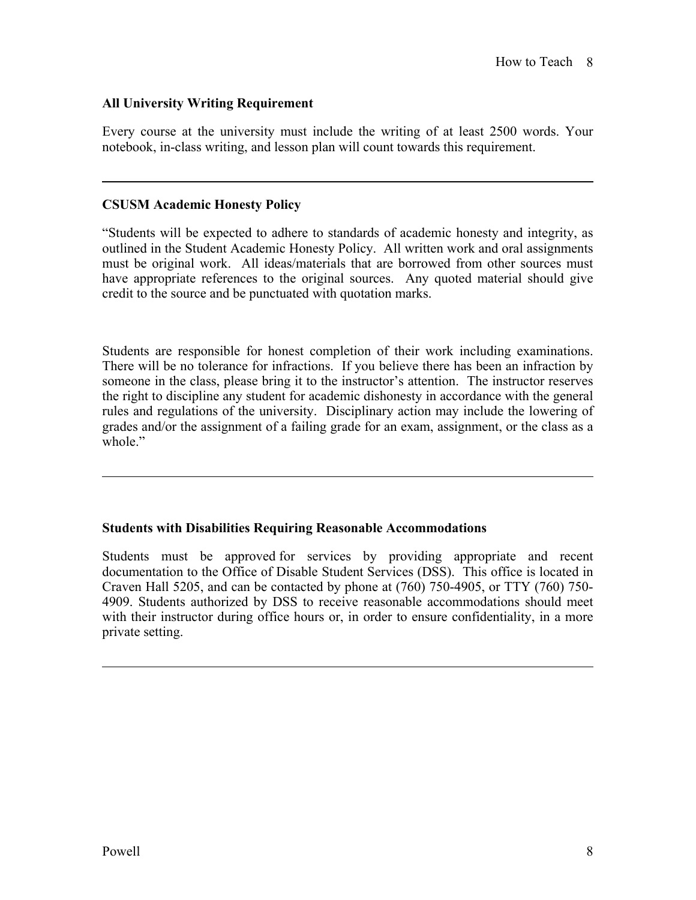# **All University Writing Requirement**

Every course at the university must include the writing of at least 2500 words. Your notebook, in-class writing, and lesson plan will count towards this requirement.

## **CSUSM Academic Honesty Policy**

 $\overline{a}$ 

 $\overline{a}$ 

 $\overline{a}$ 

"Students will be expected to adhere to standards of academic honesty and integrity, as outlined in the Student Academic Honesty Policy. All written work and oral assignments must be original work. All ideas/materials that are borrowed from other sources must have appropriate references to the original sources. Any quoted material should give credit to the source and be punctuated with quotation marks.

Students are responsible for honest completion of their work including examinations. There will be no tolerance for infractions. If you believe there has been an infraction by someone in the class, please bring it to the instructor's attention. The instructor reserves the right to discipline any student for academic dishonesty in accordance with the general rules and regulations of the university. Disciplinary action may include the lowering of grades and/or the assignment of a failing grade for an exam, assignment, or the class as a whole"

# **Students with Disabilities Requiring Reasonable Accommodations**

Students must be approved for services by providing appropriate and recent documentation to the Office of Disable Student Services (DSS). This office is located in Craven Hall 5205, and can be contacted by phone at (760) 750-4905, or TTY (760) 750- 4909. Students authorized by DSS to receive reasonable accommodations should meet with their instructor during office hours or, in order to ensure confidentiality, in a more private setting.